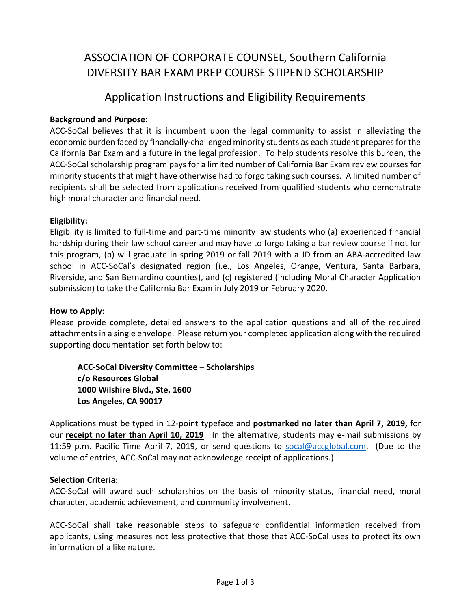# ASSOCIATION OF CORPORATE COUNSEL, Southern California DIVERSITY BAR EXAM PREP COURSE STIPEND SCHOLARSHIP

### Application Instructions and Eligibility Requirements

### **Background and Purpose:**

ACC-SoCal believes that it is incumbent upon the legal community to assist in alleviating the economic burden faced by financially-challenged minority students as each student prepares for the California Bar Exam and a future in the legal profession. To help students resolve this burden, the ACC-SoCal scholarship program pays for a limited number of California Bar Exam review courses for minority students that might have otherwise had to forgo taking such courses. A limited number of recipients shall be selected from applications received from qualified students who demonstrate high moral character and financial need.

### **Eligibility:**

Eligibility is limited to full-time and part-time minority law students who (a) experienced financial hardship during their law school career and may have to forgo taking a bar review course if not for this program, (b) will graduate in spring 2019 or fall 2019 with a JD from an ABA-accredited law school in ACC-SoCal's designated region (i.e., Los Angeles, Orange, Ventura, Santa Barbara, Riverside, and San Bernardino counties), and (c) registered (including Moral Character Application submission) to take the California Bar Exam in July 2019 or February 2020.

### **How to Apply:**

Please provide complete, detailed answers to the application questions and all of the required attachments in a single envelope. Please return your completed application along with the required supporting documentation set forth below to:

**ACC-SoCal Diversity Committee – Scholarships c/o Resources Global 1000 Wilshire Blvd., Ste. 1600 Los Angeles, CA 90017** 

Applications must be typed in 12-point typeface and **postmarked no later than April 7, 2019,** for our **receipt no later than April 10, 2019**. In the alternative, students may e-mail submissions by 11:59 p.m. Pacific Time April 7, 2019, or send questions to [socal@accglobal.com.](mailto:socal@accglobal.com) (Due to the volume of entries, ACC-SoCal may not acknowledge receipt of applications.)

### **Selection Criteria:**

ACC-SoCal will award such scholarships on the basis of minority status, financial need, moral character, academic achievement, and community involvement.

ACC-SoCal shall take reasonable steps to safeguard confidential information received from applicants, using measures not less protective that those that ACC-SoCal uses to protect its own information of a like nature.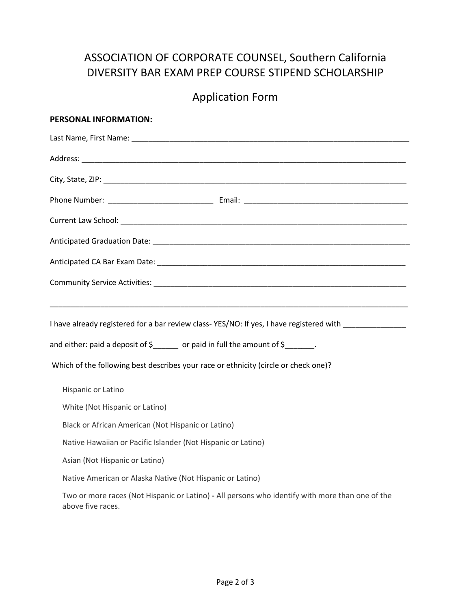# ASSOCIATION OF CORPORATE COUNSEL, Southern California DIVERSITY BAR EXAM PREP COURSE STIPEND SCHOLARSHIP

# Application Form

| PERSONAL INFORMATION:                                                                                                                                                                  |  |  |
|----------------------------------------------------------------------------------------------------------------------------------------------------------------------------------------|--|--|
|                                                                                                                                                                                        |  |  |
|                                                                                                                                                                                        |  |  |
|                                                                                                                                                                                        |  |  |
|                                                                                                                                                                                        |  |  |
|                                                                                                                                                                                        |  |  |
|                                                                                                                                                                                        |  |  |
|                                                                                                                                                                                        |  |  |
|                                                                                                                                                                                        |  |  |
| I have already registered for a bar review class-YES/NO: If yes, I have registered with<br>and either: paid a deposit of $\zeta$ ______ or paid in full the amount of $\zeta$ _______. |  |  |
| Which of the following best describes your race or ethnicity (circle or check one)?                                                                                                    |  |  |
| Hispanic or Latino                                                                                                                                                                     |  |  |
| White (Not Hispanic or Latino)                                                                                                                                                         |  |  |
| Black or African American (Not Hispanic or Latino)                                                                                                                                     |  |  |
| Native Hawaiian or Pacific Islander (Not Hispanic or Latino)                                                                                                                           |  |  |
| Asian (Not Hispanic or Latino)                                                                                                                                                         |  |  |
| Native American or Alaska Native (Not Hispanic or Latino)                                                                                                                              |  |  |
| Two or more races (Not Hispanic or Latino) - All persons who identify with more than one of the<br>above five races.                                                                   |  |  |